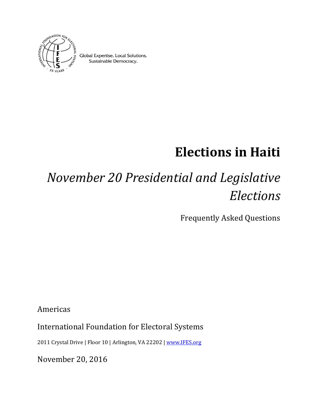

Global Expertise. Local Solutions. Sustainable Democracy.

# **Elections in Haiti**

# *November 20 Presidential and Legislative Elections*

Frequently Asked Questions

Americas

International Foundation for Electoral Systems

2011 Crystal Drive | Floor 10 | Arlington, VA 22202 [| www.IFES.org](http://www.ifes.org/)

November 20, 2016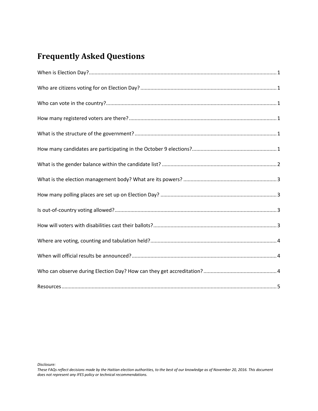# **Frequently Asked Questions**

*Disclosure:* 

*These FAQs reflect decisions made by the Haitian election authorities, to the best of our knowledge as of November 20, 2016. This document does not represent any IFES policy or technical recommendations.*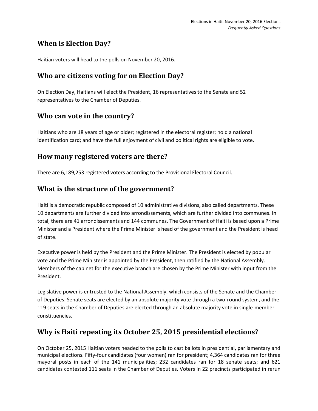## <span id="page-2-0"></span>**When is Election Day?**

Haitian voters will head to the polls on November 20, 2016.

#### <span id="page-2-1"></span>**Who are citizens voting for on Election Day?**

On Election Day, Haitians will elect the President, 16 representatives to the Senate and 52 representatives to the Chamber of Deputies.

#### <span id="page-2-2"></span>**Who can vote in the country?**

Haitians who are 18 years of age or older; registered in the electoral register; hold a national identification card; and have the full enjoyment of civil and political rights are eligible to vote.

#### <span id="page-2-3"></span>**How many registered voters are there?**

There are 6,189,253 registered voters according to the Provisional Electoral Council.

#### <span id="page-2-4"></span>**What is the structure of the government?**

Haiti is a democratic republic composed of 10 administrative divisions, also called departments. These 10 departments are further divided into arrondissements, which are further divided into communes. In total, there are 41 arrondissements and 144 communes. The Government of Haiti is based upon a Prime Minister and a President where the Prime Minister is head of the government and the President is head of state.

Executive power is held by the President and the Prime Minister. The President is elected by popular vote and the Prime Minister is appointed by the President, then ratified by the National Assembly. Members of the cabinet for the executive branch are chosen by the Prime Minister with input from the President.

Legislative power is entrusted to the National Assembly, which consists of the Senate and the Chamber of Deputies. Senate seats are elected by an absolute majority vote through a two-round system, and the 119 seats in the Chamber of Deputies are elected through an absolute majority vote in single-member constituencies.

# <span id="page-2-5"></span>**Why is Haiti repeating its October 25, 2015 presidential elections?**

On October 25, 2015 Haitian voters headed to the polls to cast ballots in presidential, parliamentary and municipal elections. Fifty-four candidates (four women) ran for president; 4,364 candidates ran for three mayoral posts in each of the 141 municipalities; 232 candidates ran for 18 senate seats; and 621 candidates contested 111 seats in the Chamber of Deputies. Voters in 22 precincts participated in rerun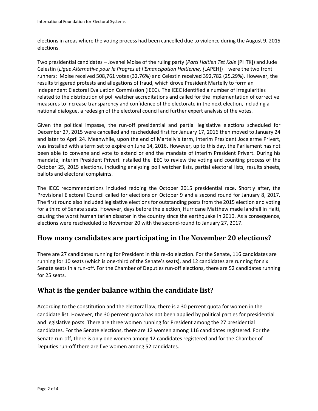elections in areas where the voting process had been cancelled due to violence during the August 9, 2015 elections.

Two presidential candidates – Jovenel Moise of the ruling party (*Parti Haitien Tet Kale* [PHTK]) and Jude Celestin (*Ligue Alternative pour le Progres et l'Emancipation Haitienne, [*LAPEH]) – were the two front runners: Moise received 508,761 votes (32.76%) and Celestin received 392,782 (25.29%). However, the results triggered protests and allegations of fraud, which drove President Martelly to form an Independent Electoral Evaluation Commission (IEEC). The IEEC identified a number of irregularities related to the distribution of poll watcher accreditations and called for the implementation of corrective measures to increase transparency and confidence of the electorate in the next election, including a national dialogue, a redesign of the electoral council and further expert analysis of the votes.

Given the political impasse, the run-off presidential and partial legislative elections scheduled for December 27, 2015 were cancelled and rescheduled first for January 17, 2016 then moved to January 24 and later to April 24. Meanwhile, upon the end of Martelly's term, interim President Jocelerme Privert, was installed with a term set to expire on June 14, 2016. However, up to this day, the Parliament has not been able to convene and vote to extend or end the mandate of interim President Privert. During his mandate, interim President Privert installed the IEEC to review the voting and counting process of the October 25, 2015 elections, including analyzing poll watcher lists, partial electoral lists, results sheets, ballots and electoral complaints.

The IECC recommendations included redoing the October 2015 presidential race. Shortly after, the Provisional Electoral Council called for elections on October 9 and a second round for January 8, 2017. The first round also included legislative elections for outstanding posts from the 2015 election and voting for a third of Senate seats. However, days before the election, Hurricane Matthew made landfall in Haiti, causing the worst humanitarian disaster in the country since the earthquake in 2010. As a consequence, elections were rescheduled to November 20 with the second-round to January 27, 2017.

#### **How many candidates are participating in the November 20 elections?**

There are 27 candidates running for President in this re-do election. For the Senate, 116 candidates are running for 10 seats (which is one-third of the Senate's seats), and 12 candidates are running for six Senate seats in a run-off. For the Chamber of Deputies run-off elections, there are 52 candidates running for 25 seats.

#### <span id="page-3-0"></span>**What is the gender balance within the candidate list?**

According to the constitution and the electoral law, there is a 30 percent quota for women in the candidate list. However, the 30 percent quota has not been applied by political parties for presidential and legislative posts. There are three women running for President among the 27 presidential candidates. For the Senate elections, there are 12 women among 116 candidates registered. For the Senate run-off, there is only one women among 12 candidates registered and for the Chamber of Deputies run-off there are five women among 52 candidates.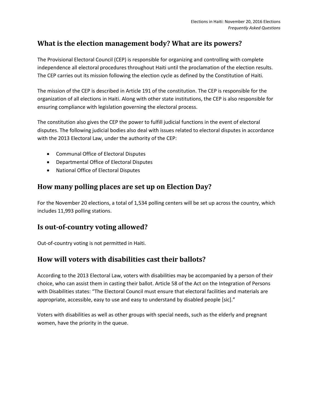## <span id="page-4-0"></span>**What is the election management body? What are its powers?**

The Provisional Electoral Council (CEP) is responsible for organizing and controlling with complete independence all electoral procedures throughout Haiti until the proclamation of the election results. The CEP carries out its mission following the election cycle as defined by the Constitution of Haiti.

The mission of the CEP is described in Article 191 of the constitution. The CEP is responsible for the organization of all elections in Haiti. Along with other state institutions, the CEP is also responsible for ensuring compliance with legislation governing the electoral process.

The constitution also gives the CEP the power to fulfill judicial functions in the event of electoral disputes. The following judicial bodies also deal with issues related to electoral disputes in accordance with the 2013 Electoral Law, under the authority of the CEP:

- Communal Office of Electoral Disputes
- Departmental Office of Electoral Disputes
- National Office of Electoral Disputes

#### <span id="page-4-1"></span>**How many polling places are set up on Election Day?**

For the November 20 elections, a total of 1,534 polling centers will be set up across the country, which includes 11,993 polling stations.

#### <span id="page-4-2"></span>**Is out-of-country voting allowed?**

Out-of-country voting is not permitted in Haiti.

### <span id="page-4-3"></span>**How will voters with disabilities cast their ballots?**

According to the 2013 Electoral Law, voters with disabilities may be accompanied by a person of their choice, who can assist them in casting their ballot. Article 58 of the Act on the Integration of Persons with Disabilities states: "The Electoral Council must ensure that electoral facilities and materials are appropriate, accessible, easy to use and easy to understand by disabled people [sic]."

<span id="page-4-4"></span>Voters with disabilities as well as other groups with special needs, such as the elderly and pregnant women, have the priority in the queue.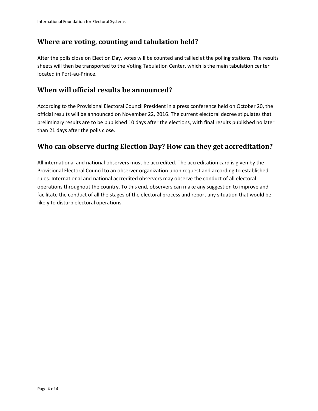#### **Where are voting, counting and tabulation held?**

After the polls close on Election Day, votes will be counted and tallied at the polling stations. The results sheets will then be transported to the Voting Tabulation Center, which is the main tabulation center located in Port-au-Prince.

#### <span id="page-5-0"></span>**When will official results be announced?**

According to the Provisional Electoral Council President in a press conference held on October 20, the official results will be announced on November 22, 2016. The current electoral decree stipulates that preliminary results are to be published 10 days after the elections, with final results published no later than 21 days after the polls close.

#### <span id="page-5-1"></span>**Who can observe during Election Day? How can they get accreditation?**

All international and national observers must be accredited. The accreditation card is given by the Provisional Electoral Council to an observer organization upon request and according to established rules. International and national accredited observers may observe the conduct of all electoral operations throughout the country. To this end, observers can make any suggestion to improve and facilitate the conduct of all the stages of the electoral process and report any situation that would be likely to disturb electoral operations.